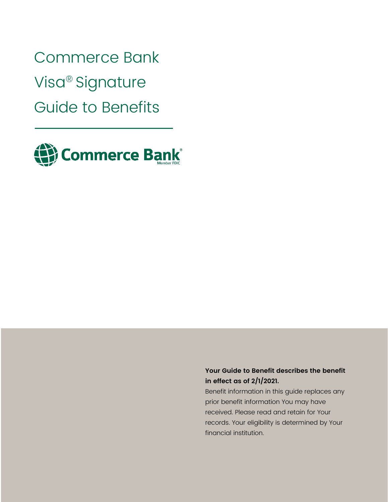Commerce Bank Visa® Signature Guide to Benefits



# **Your Guide to Benefit describes the benefit in effect as of 2/1/2021.**

Benefit information in this guide replaces any prior benefit information You may have received. Please read and retain for Your records. Your eligibility is determined by Your financial institution.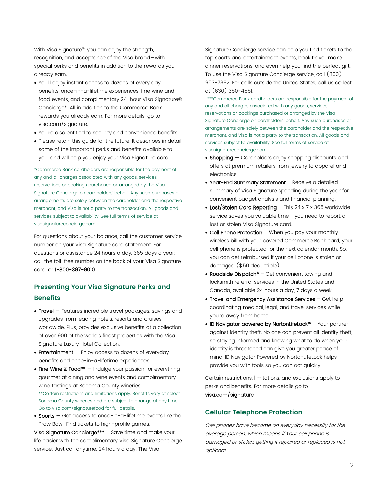With Visa Signature® , you can enjoy the strength, recognition, and acceptance of the Visa brand—with special perks and benefits in addition to the rewards you already earn.

- You'll enjoy instant access to dozens of every day benefits, once-in-a-lifetime experiences, fine wine and food events, and complimentary 24-hour Visa Signature® Concierge\*. All in addition to the Commerce Bank rewards you already earn. For more details, go to visa.com/signature.
- You're also entitled to security and convenience benefits.
- Please retain this guide for the future. It describes in detail some of the important perks and benefits available to you, and will help you enjoy your Visa Signature card.

\*Commerce Bank cardholders are responsible for the payment of any and all charges associated with any goods, services, reservations or bookings purchased or arranged by the Visa Signature Concierge on cardholders' behalf. Any such purchases or arrangements are solely between the cardholder and the respective merchant, and Visa is not a party to the transaction. All goods and services subject to availability. See full terms of service at visasignatureconcierge.com.

For questions about your balance, call the customer service number on your Visa Signature card statement. For questions or assistance 24 hours a day, 365 days a year; call the toll-free number on the back of your Visa Signature card, or 1-800-397-9010.

# **Presenting Your Visa Signature Perks and Benefits**

- Travel Features incredible travel packages, savings and upgrades from leading hotels, resorts and cruises worldwide. Plus, provides exclusive benefits at a collection of over 900 of the world's finest properties with the Visa Signature Luxury Hotel Collection.
- **Entertainment**  $-$  Enjoy access to dozens of everyday benefits and once-in-a-lifetime experiences.
- Fine Wine & Food\*\* Indulge your passion for everything gourmet at dining and wine events and complimentary wine tastings at Sonoma County wineries. \*\*Certain restrictions and limitations apply. Benefits vary at select Sonoma County wineries and are subject to change at any time. Go to visa.com/signaturefood for full details.
- Sports  $-$  Get access to once-in-a-lifetime events like the Prow Bowl. Find tickets to high-profile games.

Visa Signature Concierge\*\*\* - Save time and make your life easier with the complimentary Visa Signature Concierge service. Just call anytime, 24 hours a day. The Visa

Signature Concierge service can help you find tickets to the top sports and entertainment events, book travel, make dinner reservations, and even help you find the perfect gift. To use the Visa Signature Concierge service, call (800) 953-7392. For calls outside the United States, call us collect at (630) 350-4551.

\*\*\*Commerce Bank cardholders are responsible for the payment of any and all charges associated with any goods, services, reservations or bookings purchased or arranged by the Visa Signature Concierge on cardholders' behalf. Any such purchases or arrangements are solely between the cardholder and the respective merchant, and Visa is not a party to the transaction. All goods and services subject to availability. See full terms of service at visasignatureconcierge.com.

- Shopping Cardholders enjoy shopping discounts and offers at premium retailers from jewelry to apparel and electronics.
- Year-End Summary Statement Receive a detailed summary of Visa Signature spending during the year for convenient budget analysis and financial planning.
- Lost/Stolen Card Reporting  $-$  This 24 x 7 x 365 worldwide service saves you valuable time if you need to report a lost or stolen Visa Signature card.
- Cell Phone Protection When you pay your monthly wireless bill with your covered Commerce Bank card, your cell phone is protected for the next calendar month. So, you can get reimbursed if your cell phone is stolen or damaged (\$50 deductible).
- Roadside Dispatch® Get convenient towing and locksmith referral services in the United States and Canada, available 24 hours a day, 7 days a week.
- Travel and Emergency Assistance Services Get help coordinating medical, legal, and travel services while you're away from home.
- ID Navigator powered by NortonLifeLock™ Your partner against identity theft. No one can prevent all identity theft, so staying informed and knowing what to do when your identity is threatened can give you greater peace of mind. ID Navigator Powered by NortonLifeLock helps provide you with tools so you can act quickly.

Certain restrictions, limitations, and exclusions apply to perks and benefits. For more details go to visa.com/signature.

# **Cellular Telephone Protection**

Cell phones have become an everyday necessity for the average person, which means if Your cell phone is damaged or stolen, getting it repaired or replaced is not optional.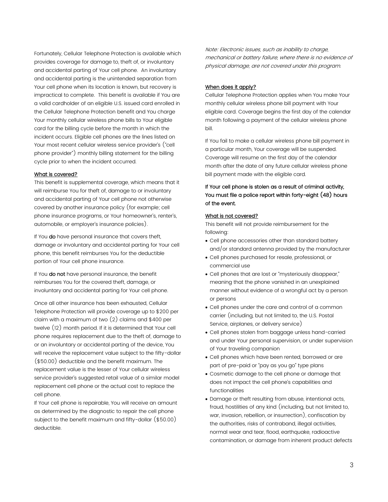Fortunately, Cellular Telephone Protection is available which provides coverage for damage to, theft of, or involuntary and accidental parting of Your cell phone. An involuntary and accidental parting is the unintended separation from Your cell phone when its location is known, but recovery is impractical to complete. This benefit is available if You are a valid cardholder of an eligible U.S. issued card enrolled in the Cellular Telephone Protection benefit and You charge Your monthly cellular wireless phone bills to Your eligible card for the billing cycle before the month in which the incident occurs. Eligible cell phones are the lines listed on Your most recent cellular wireless service provider's ("cell phone provider") monthly billing statement for the billing cycle prior to when the incident occurred.

#### What is covered?

This benefit is supplemental coverage, which means that it will reimburse You for theft of, damage to or involuntary and accidental parting of Your cell phone not otherwise covered by another insurance policy (for example; cell phone insurance programs, or Your homeowner's, renter's, automobile, or employer's insurance policies).

If You do have personal insurance that covers theft, damage or involuntary and accidental parting for Your cell phone, this benefit reimburses You for the deductible portion of Your cell phone insurance.

If You do not have personal insurance, the benefit reimburses You for the covered theft, damage, or involuntary and accidental parting for Your cell phone.

Once all other insurance has been exhausted, Cellular Telephone Protection will provide coverage up to \$200 per claim with a maximum of two (2) claims and \$400 per twelve (12) month period. If it is determined that Your cell phone requires replacement due to the theft of, damage to or an involuntary or accidental parting of the device, You will receive the replacement value subject to the fifty-dollar (\$50.00) deductible and the benefit maximum. The replacement value is the lesser of Your cellular wireless service provider's suggested retail value of a similar model replacement cell phone or the actual cost to replace the cell phone.

If Your cell phone is repairable, You will receive an amount as determined by the diagnostic to repair the cell phone subject to the benefit maximum and fifty-dollar (\$50.00) deductible.

Note: Electronic issues, such as inability to charge, mechanical or battery failure, where there is no evidence of physical damage, are not covered under this program.

#### When does it apply?

Cellular Telephone Protection applies when You make Your monthly cellular wireless phone bill payment with Your eligible card. Coverage begins the first day of the calendar month following a payment of the cellular wireless phone bill.

If You fail to make a cellular wireless phone bill payment in a particular month, Your coverage will be suspended. Coverage will resume on the first day of the calendar month after the date of any future cellular wireless phone bill payment made with the eligible card.

# If Your cell phone is stolen as a result of criminal activity, You must file a police report within forty-eight (48) hours of the event.

### What is not covered?

This benefit will not provide reimbursement for the following:

- Cell phone accessories other than standard battery and/or standard antenna provided by the manufacturer
- Cell phones purchased for resale, professional, or commercial use
- Cell phones that are lost or "mysteriously disappear," meaning that the phone vanished in an unexplained manner without evidence of a wrongful act by a person or persons
- Cell phones under the care and control of a common carrier (including, but not limited to, the U.S. Postal Service, airplanes, or delivery service)
- Cell phones stolen from baggage unless hand-carried and under Your personal supervision, or under supervision of Your traveling companion
- Cell phones which have been rented, borrowed or are part of pre-paid or "pay as you go" type plans
- Cosmetic damage to the cell phone or damage that does not impact the cell phone's capabilities and functionalities
- Damage or theft resulting from abuse, intentional acts, fraud, hostilities of any kind (including, but not limited to, war, invasion, rebellion, or insurrection), confiscation by the authorities, risks of contraband, illegal activities, normal wear and tear, flood, earthquake, radioactive contamination, or damage from inherent product defects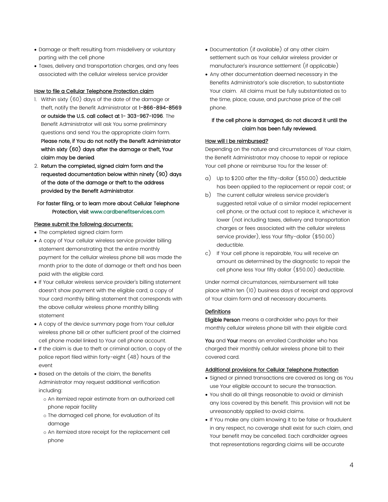- Damage or theft resulting from misdelivery or voluntary parting with the cell phone
- Taxes, delivery and transportation charges, and any fees associated with the cellular wireless service provider

### How to file a Cellular Telephone Protection claim

- 1. Within sixty (60) days of the date of the damage or theft, notify the Benefit Administrator at 1-866-894-8569 or outside the U.S. call collect at 1- 303-967-1096. The Benefit Administrator will ask You some preliminary questions and send You the appropriate claim form. Please note, if You do not notify the Benefit Administrator within sixty (60) days after the damage or theft, Your claim may be denied.
- 2. Return the completed, signed claim form and the requested documentation below within ninety (90) days of the date of the damage or theft to the address provided by the Benefit Administrator.

## For faster filing, or to learn more about Cellular Telephone Protection, visit www.cardbenefitservices.com

#### Please submit the following documents:

- The completed signed claim form
- A copy of Your cellular wireless service provider billing statement demonstrating that the entire monthly payment for the cellular wireless phone bill was made the month prior to the date of damage or theft and has been paid with the eligible card.
- If Your cellular wireless service provider's billing statement doesn't show payment with the eligible card, a copy of Your card monthly billing statement that corresponds with the above cellular wireless phone monthly billing statement
- A copy of the device summary page from Your cellular wireless phone bill or other sufficient proof of the claimed cell phone model linked to Your cell phone account.
- If the claim is due to theft or criminal action, a copy of the police report filed within forty-eight (48) hours of the event
- Based on the details of the claim, the Benefits Administrator may request additional verification including:
	- o An itemized repair estimate from an authorized cell phone repair facility
	- o The damaged cell phone, for evaluation of its damage
	- o An itemized store receipt for the replacement cell phone
- Documentation (if available) of any other claim settlement such as Your cellular wireless provider or manufacturer's insurance settlement (if applicable)
- Any other documentation deemed necessary in the Benefits Administrator's sole discretion, to substantiate Your claim. All claims must be fully substantiated as to the time, place, cause, and purchase price of the cell phone.

# If the cell phone is damaged, do not discard it until the claim has been fully reviewed.

## How will I be reimbursed?

Depending on the nature and circumstances of Your claim, the Benefit Administrator may choose to repair or replace Your cell phone or reimburse You for the lesser of:

- a) Up to \$200 after the fifty-dollar (\$50.00) deductible has been applied to the replacement or repair cost; or
- b) The current cellular wireless service provider's suggested retail value of a similar model replacement cell phone, or the actual cost to replace it, whichever is lower (not including taxes, delivery and transportation charges or fees associated with the cellular wireless service provider), less Your fifty-dollar (\$50.00) deductible.
- c) If Your cell phone is repairable, You will receive an amount as determined by the diagnostic to repair the cell phone less Your fifty dollar (\$50.00) deductible.

Under normal circumstances, reimbursement will take place within ten (10) business days of receipt and approval of Your claim form and all necessary documents.

### **Definitions**

Eligible Person means a cardholder who pays for their monthly cellular wireless phone bill with their eligible card.

You and Your means an enrolled Cardholder who has charged their monthly cellular wireless phone bill to their covered card.

#### Additional provisions for Cellular Telephone Protection

- Signed or pinned transactions are covered as long as You use Your eligible account to secure the transaction.
- You shall do all things reasonable to avoid or diminish any loss covered by this benefit. This provision will not be unreasonably applied to avoid claims.
- If You make any claim knowing it to be false or fraudulent in any respect, no coverage shall exist for such claim, and Your benefit may be cancelled. Each cardholder agrees that representations regarding claims will be accurate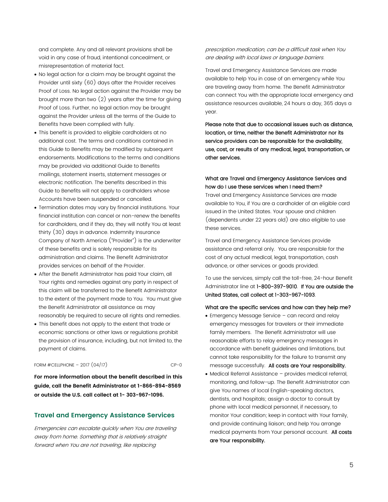and complete. Any and all relevant provisions shall be void in any case of fraud, intentional concealment, or misrepresentation of material fact.

- No legal action for a claim may be brought against the Provider until sixty (60) days after the Provider receives Proof of Loss. No legal action against the Provider may be brought more than two (2) years after the time for giving Proof of Loss. Further, no legal action may be brought against the Provider unless all the terms of the Guide to Benefits have been complied with fully.
- This benefit is provided to eligible cardholders at no additional cost. The terms and conditions contained in this Guide to Benefits may be modified by subsequent endorsements. Modifications to the terms and conditions may be provided via additional Guide to Benefits mailings, statement inserts, statement messages or electronic notification. The benefits described in this Guide to Benefits will not apply to cardholders whose Accounts have been suspended or cancelled.
- Termination dates may vary by financial institutions. Your financial institution can cancel or non-renew the benefits for cardholders, and if they do, they will notify You at least thirty (30) days in advance. Indemnity Insurance Company of North America ("Provider") is the underwriter of these benefits and is solely responsible for its administration and claims. The Benefit Administrator provides services on behalf of the Provider.
- After the Benefit Administrator has paid Your claim, all Your rights and remedies against any party in respect of this claim will be transferred to the Benefit Administrator to the extent of the payment made to You. You must give the Benefit Administrator all assistance as may reasonably be required to secure all rights and remedies.
- This benefit does not apply to the extent that trade or economic sanctions or other laws or regulations prohibit the provision of insurance, including, but not limited to, the payment of claims.

FORM  $\#$ CELLPHONE – 2017  $(04/17)$  CP-0

**For more information about the benefit described in this guide, call the Benefit Administrator at 1-866-894-8569 or outside the U.S. call collect at 1- 303-967-1096.**

## **Travel and Emergency Assistance Services**

Emergencies can escalate quickly when You are traveling away from home. Something that is relatively straight forward when You are not traveling, like replacing

prescription medication, can be a difficult task when You are dealing with local laws or language barriers.

Travel and Emergency Assistance Services are made available to help You in case of an emergency while You are traveling away from home. The Benefit Administrator can connect You with the appropriate local emergency and assistance resources available, 24 hours a day, 365 days a year.

Please note that due to occasional issues such as distance, location, or time, neither the Benefit Administrator nor its service providers can be responsible for the availability, use, cost, or results of any medical, legal, transportation, or other services.

# What are Travel and Emergency Assistance Services and how do I use these services when I need them?

Travel and Emergency Assistance Services are made available to You, if You are a cardholder of an eligible card issued in the United States. Your spouse and children (dependents under 22 years old) are also eligible to use these services.

Travel and Emergency Assistance Services provide assistance and referral only. You are responsible for the cost of any actual medical, legal, transportation, cash advance, or other services or goods provided.

To use the services, simply call the toll-free, 24-hour Benefit Administrator line at 1-800-397-9010. If You are outside the United States, call collect at 1-303-967-1093.

#### What are the specific services and how can they help me?

- Emergency Message Service can record and relay emergency messages for travelers or their immediate family members. The Benefit Administrator will use reasonable efforts to relay emergency messages in accordance with benefit guidelines and limitations, but cannot take responsibility for the failure to transmit any message successfully. All costs are Your responsibility.
- Medical Referral Assistance provides medical referral, monitoring, and follow-up. The Benefit Administrator can give You names of local English-speaking doctors, dentists, and hospitals; assign a doctor to consult by phone with local medical personnel, if necessary, to monitor Your condition; keep in contact with Your family, and provide continuing liaison; and help You arrange medical payments from Your personal account. All costs are Your responsibility.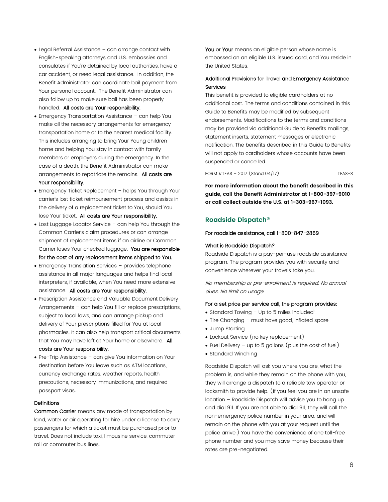- Legal Referral Assistance can arrange contact with English-speaking attorneys and U.S. embassies and consulates if You're detained by local authorities, have a car accident, or need legal assistance. In addition, the Benefit Administrator can coordinate bail payment from Your personal account. The Benefit Administrator can also follow up to make sure bail has been properly handled. All costs are Your responsibility.
- Emergency Transportation Assistance can help You make all the necessary arrangements for emergency transportation home or to the nearest medical facility. This includes arranging to bring Your Young children home and helping You stay in contact with family members or employers during the emergency. In the case of a death, the Benefit Administrator can make arrangements to repatriate the remains. All costs are Your responsibility.
- Emergency Ticket Replacement helps You through Your carrier's lost ticket reimbursement process and assists in the delivery of a replacement ticket to You, should You lose Your ticket. All costs are Your responsibility.
- Lost Luggage Locator Service can help You through the Common Carrier's claim procedures or can arrange shipment of replacement items if an airline or Common Carrier loses Your checked luggage. You are responsible for the cost of any replacement items shipped to You.
- Emergency Translation Services provides telephone assistance in all major languages and helps find local interpreters, if available, when You need more extensive assistance. All costs are Your responsibility.
- Prescription Assistance and Valuable Document Delivery Arrangements – can help You fill or replace prescriptions, subject to local laws, and can arrange pickup and delivery of Your prescriptions filled for You at local pharmacies. It can also help transport critical documents that You may have left at Your home or elsewhere. All costs are Your responsibility.
- Pre-Trip Assistance can give You information on Your destination before You leave such as ATM locations, currency exchange rates, weather reports, health precautions, necessary immunizations, and required passport visas.

#### **Definitions**

Common Carrier means any mode of transportation by land, water or air operating for hire under a license to carry passengers for which a ticket must be purchased prior to travel. Does not include taxi, limousine service, commuter rail or commuter bus lines.

You or Your means an eligible person whose name is embossed on an eligible U.S. issued card, and You reside in the United States.

### Additional Provisions for Travel and Emergency Assistance Services

This benefit is provided to eligible cardholders at no additional cost. The terms and conditions contained in this Guide to Benefits may be modified by subsequent endorsements. Modifications to the terms and conditions may be provided via additional Guide to Benefits mailings, statement inserts, statement messages or electronic notification. The benefits described in this Guide to Benefits will not apply to cardholders whose accounts have been suspended or cancelled.

FORM  $\#TEAS - 2017$  (Stand 04/17) TEAS-S

**For more information about the benefit described in this guide, call the Benefit Administrator at 1-800-397-9010 or call collect outside the U.S. at 1-303-967-1093.**

### **Roadside Dispatch®**

#### For roadside assistance, call 1-800-847-2869

#### What is Roadside Dispatch?

Roadside Dispatch is a pay-per-use roadside assistance program. The program provides you with security and convenience wherever your travels take you.

No membership or pre-enrollment is required. No annual dues. No limit on usage.

#### For a set price per service call, the program provides:

- Standard Towing  $-$  Up to 5 miles included<sup>1</sup>
- Tire Changing must have good, inflated spare
- Jump Starting
- Lockout Service (no key replacement)
- Fuel Delivery up to 5 gallons (plus the cost of fuel)
- Standard Winching

Roadside Dispatch will ask you where you are, what the problem is, and while they remain on the phone with you, they will arrange a dispatch to a reliable tow operator or locksmith to provide help. (If you feel you are in an unsafe location – Roadside Dispatch will advise you to hang up and dial 911. If you are not able to dial 911, they will call the non-emergency police number in your area, and will remain on the phone with you at your request until the police arrive.) You have the convenience of one toll-free phone number and you may save money because their rates are pre-negotiated.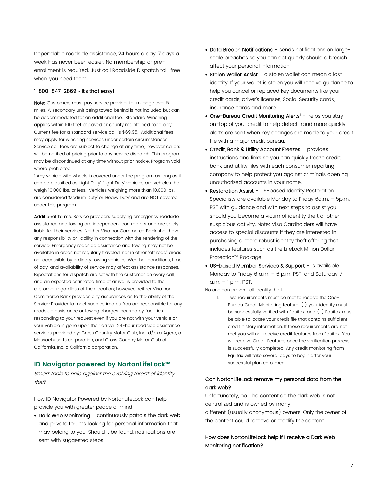Dependable roadside assistance, 24 hours a day, 7 days a week has never been easier. No membership or preenrollment is required. Just call Roadside Dispatch toll-free when you need them.

#### 1-800-847-2869 ~ it's that easy!

Note: Customers must pay service provider for mileage over 5 miles. A secondary unit being towed behind is not included but can be accommodated for an additional fee. Standard Winching applies within 100 feet of paved or county maintained road only. Current fee for a standard service call is \$69.95. Additional fees may apply for winching services under certain circumstances. Service call fees are subject to change at any time; however callers will be notified of pricing prior to any service dispatch. This program may be discontinued at any time without prior notice. Program void where prohibited.

1 Any vehicle with wheels is covered under the program as long as it can be classified as 'Light Duty'. 'Light Duty' vehicles are vehicles that weigh 10,000 lbs. or less. Vehicles weighing more than 10,000 lbs. are considered 'Medium Duty' or 'Heavy Duty' and are NOT covered under this program.

Additional Terms: Service providers supplying emergency roadside assistance and towing are independent contractors and are solely liable for their services. Neither Visa nor Commerce Bank shall have any responsibility or liability in connection with the rendering of the service. Emergency roadside assistance and towing may not be available in areas not regularly traveled, nor in other "off road" areas not accessible by ordinary towing vehicles. Weather conditions, time of day, and availability of service may affect assistance responses. Expectations for dispatch are set with the customer on every call, and an expected estimated time of arrival is provided to the customer regardless of their location; however, neither Visa nor Commerce Bank provides any assurances as to the ability of the Service Provider to meet such estimates. You are responsible for any roadside assistance or towing charges incurred by facilities responding to your request even if you are not with your vehicle or your vehicle is gone upon their arrival. 24-hour roadside assistance services provided by: Cross Country Motor Club, Inc. d/b/a Agero, a Massachusetts corporation, and Cross Country Motor Club of California, Inc. a California corporation.

# **ID Navigator powered by NortonLifeLock™**

Smart tools to help against the evolving threat of identity theft.

How ID Navigator Powered by NortonLifeLock can help provide you with greater peace of mind:

• Dark Web Monitoring - continuously patrols the dark web and private forums looking for personal information that may belong to you. Should it be found, notifications are sent with suggested steps.

- Data Breach Notifications sends notifications on largescale breaches so you can act quickly should a breach affect your personal information.
- Stolen Wallet Assist a stolen wallet can mean a lost identity. If your wallet is stolen you will receive guidance to help you cancel or replaced key documents like your credit cards, driver's licenses, Social Security cards, insurance cards and more.
- One-Bureau Credit Monitoring Alerts<sup>1</sup> helps you stay on-top of your credit to help detect fraud more quickly, alerts are sent when key changes are made to your credit file with a major credit bureau.
- Credit, Bank & Utility Account Freezes provides instructions and links so you can quickly freeze credit, bank and utility files with each consumer reporting company to help protect you against criminals opening unauthorized accounts in your name.
- Restoration Assist US-based Identity Restoration Specialists are available Monday to Friday 6a.m. – 5p.m. PST with guidance and with next steps to assist you should you become a victim of identity theft or other suspicious activity. Note: Visa Cardholders will have access to special discounts if they are interested in purchasing a more robust identity theft offering that includes features such as the LifeLock Million Dollar Protection™ Package.
- US-based Member Services & Support is available Monday to Friday 6 a.m. - 6 p.m. PST; and Saturday 7 a.m. – 1 p.m. PST.

No one can prevent all identity theft.

1. Two requirements must be met to receive the One-Bureau Credit Monitoring feature: (i) your identity must be successfully verified with Equifax; and (ii) Equifax must be able to locate your credit file that contains sufficient credit history information. If these requirements are not met you will not receive credit features from Equifax. You will receive Credit Features once the verification process is successfully completed. Any credit monitoring from Equifax will take several days to begin after your successful plan enrollment.

# Can NortonLifeLock remove my personal data from the dark web?

Unfortunately, no. The content on the dark web is not centralized and is owned by many different (usually anonymous) owners. Only the owner of the content could remove or modify the content.

# How does NortonLifeLock help if I receive a Dark Web Monitoring notification?